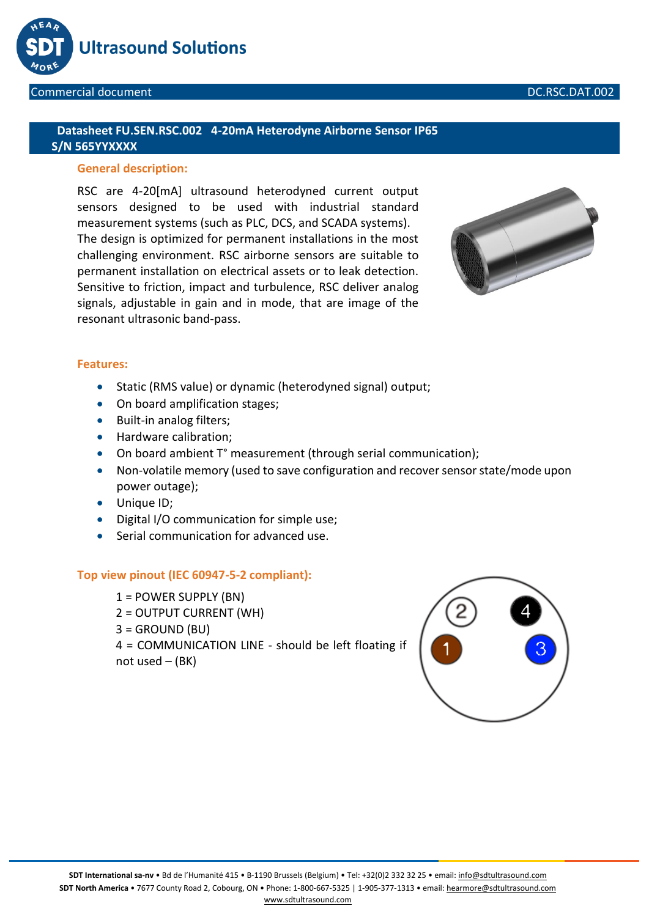

#### **Datasheet FU.SEN.RSC.002 4-20mA Heterodyne Airborne Sensor IP65 S/N 565YYXXXX**

## **General description:**

RSC are 4-20[mA] ultrasound heterodyned current output sensors designed to be used with industrial standard measurement systems (such as PLC, DCS, and SCADA systems). The design is optimized for permanent installations in the most challenging environment. RSC airborne sensors are suitable to permanent installation on electrical assets or to leak detection. Sensitive to friction, impact and turbulence, RSC deliver analog signals, adjustable in gain and in mode, that are image of the resonant ultrasonic band-pass.



#### **Features:**

- Static (RMS value) or dynamic (heterodyned signal) output;
- On board amplification stages;
- Built-in analog filters;
- Hardware calibration:
- On board ambient T° measurement (through serial communication);
- Non-volatile memory (used to save configuration and recover sensor state/mode upon power outage);
- Unique ID;
- Digital I/O communication for simple use;
- Serial communication for advanced use.

#### **Top view pinout (IEC 60947-5-2 compliant):**

1 = POWER SUPPLY (BN) 2 = OUTPUT CURRENT (WH)  $3 =$  GROUND (BU) 4 = COMMUNICATION LINE - should be left floating if not used  $-$  (BK)

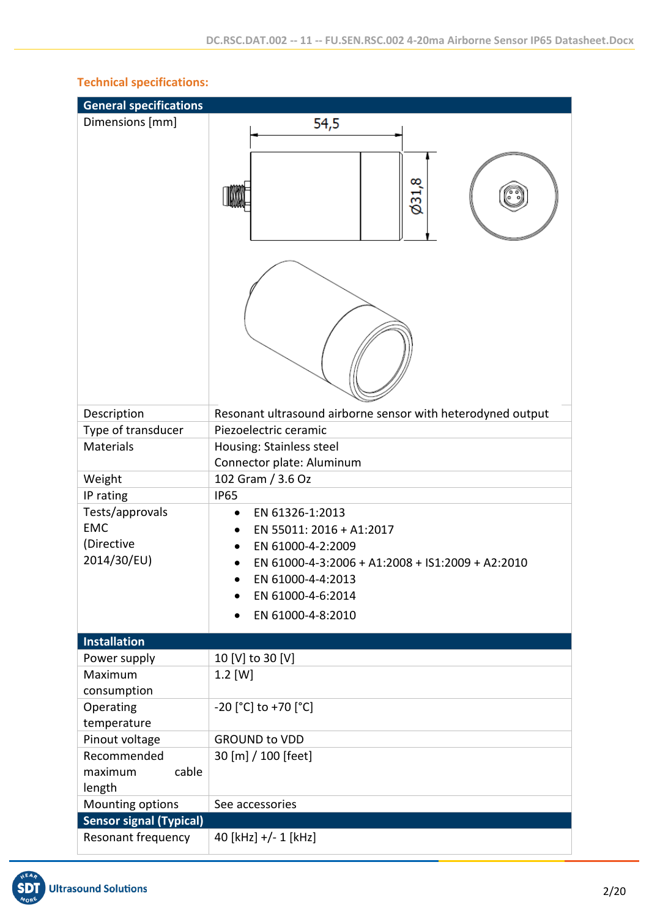| <b>General specifications</b>                              |                                                                                                                                                                                     |
|------------------------------------------------------------|-------------------------------------------------------------------------------------------------------------------------------------------------------------------------------------|
| Dimensions [mm]                                            | 54,5<br>$\emptyset$ 31,8                                                                                                                                                            |
| Description                                                | Resonant ultrasound airborne sensor with heterodyned output                                                                                                                         |
| Type of transducer                                         | Piezoelectric ceramic                                                                                                                                                               |
| <b>Materials</b>                                           | Housing: Stainless steel                                                                                                                                                            |
|                                                            | Connector plate: Aluminum                                                                                                                                                           |
| Weight<br>IP rating                                        | 102 Gram / 3.6 Oz<br><b>IP65</b>                                                                                                                                                    |
| Tests/approvals<br><b>EMC</b><br>(Directive<br>2014/30/EU) | EN 61326-1:2013<br>EN 55011: 2016 + A1:2017<br>EN 61000-4-2:2009<br>EN 61000-4-3:2006 + A1:2008 + IS1:2009 + A2:2010<br>EN 61000-4-4:2013<br>EN 61000-4-6:2014<br>EN 61000-4-8:2010 |
| <b>Installation</b>                                        |                                                                                                                                                                                     |
| Power supply                                               | 10 [V] to 30 [V]                                                                                                                                                                    |
| Maximum                                                    | $1.2$ [W]                                                                                                                                                                           |
| consumption                                                |                                                                                                                                                                                     |
| Operating                                                  | $-20$ [°C] to +70 [°C]                                                                                                                                                              |
| temperature                                                | <b>GROUND to VDD</b>                                                                                                                                                                |
| Pinout voltage<br>Recommended                              | 30 [m] / 100 [feet]                                                                                                                                                                 |
| maximum<br>cable                                           |                                                                                                                                                                                     |
| length                                                     |                                                                                                                                                                                     |
| Mounting options                                           | See accessories                                                                                                                                                                     |
| <b>Sensor signal (Typical)</b>                             |                                                                                                                                                                                     |
| Resonant frequency                                         | 40 [kHz] +/- 1 [kHz]                                                                                                                                                                |

# **Technical specifications:**

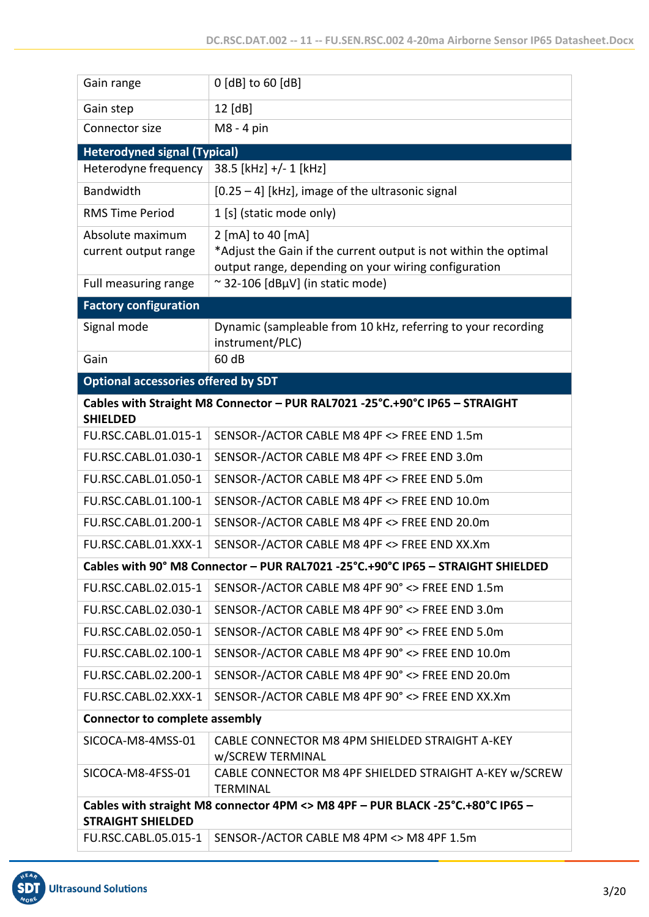| Gain range                                       | 0 [dB] to 60 [dB]                                                                                                                             |
|--------------------------------------------------|-----------------------------------------------------------------------------------------------------------------------------------------------|
| Gain step                                        | 12 [dB]                                                                                                                                       |
| Connector size                                   | M8 - 4 pin                                                                                                                                    |
| <b>Heterodyned signal (Typical)</b>              |                                                                                                                                               |
| Heterodyne frequency                             | 38.5 [kHz] +/- 1 [kHz]                                                                                                                        |
| <b>Bandwidth</b>                                 | $[0.25 - 4]$ [kHz], image of the ultrasonic signal                                                                                            |
| <b>RMS Time Period</b>                           | 1 [s] (static mode only)                                                                                                                      |
| Absolute maximum<br>current output range         | 2 [mA] to 40 [mA]<br>*Adjust the Gain if the current output is not within the optimal<br>output range, depending on your wiring configuration |
| Full measuring range                             | ~32-106 [dBµV] (in static mode)                                                                                                               |
| <b>Factory configuration</b>                     |                                                                                                                                               |
| Signal mode                                      | Dynamic (sampleable from 10 kHz, referring to your recording<br>instrument/PLC)                                                               |
| Gain                                             | 60 dB                                                                                                                                         |
| <b>Optional accessories offered by SDT</b>       |                                                                                                                                               |
| <b>SHIELDED</b>                                  | Cables with Straight M8 Connector - PUR RAL7021 -25°C.+90°C IP65 - STRAIGHT                                                                   |
| FU.RSC.CABL.01.015-1                             | SENSOR-/ACTOR CABLE M8 4PF <> FREE END 1.5m                                                                                                   |
| FU.RSC.CABL.01.030-1                             | SENSOR-/ACTOR CABLE M8 4PF <> FREE END 3.0m                                                                                                   |
| FU.RSC.CABL.01.050-1                             | SENSOR-/ACTOR CABLE M8 4PF <> FREE END 5.0m                                                                                                   |
| FU.RSC.CABL.01.100-1                             | SENSOR-/ACTOR CABLE M8 4PF <> FREE END 10.0m                                                                                                  |
| FU.RSC.CABL.01.200-1                             | SENSOR-/ACTOR CABLE M8 4PF <> FREE END 20.0m                                                                                                  |
| FU.RSC.CABL.01.XXX-1                             | SENSOR-/ACTOR CABLE M8 4PF <> FREE END XX.Xm                                                                                                  |
|                                                  | Cables with 90° M8 Connector - PUR RAL7021 -25°C.+90°C IP65 - STRAIGHT SHIELDED                                                               |
| FU.RSC.CABL.02.015-1                             | SENSOR-/ACTOR CABLE M8 4PF 90° <> FREE END 1.5m                                                                                               |
| FU.RSC.CABL.02.030-1                             | SENSOR-/ACTOR CABLE M8 4PF 90° <> FREE END 3.0m                                                                                               |
| FU.RSC.CABL.02.050-1                             | SENSOR-/ACTOR CABLE M8 4PF 90° <> FREE END 5.0m                                                                                               |
| FU.RSC.CABL.02.100-1                             | SENSOR-/ACTOR CABLE M8 4PF 90° <> FREE END 10.0m                                                                                              |
| FU.RSC.CABL.02.200-1                             | SENSOR-/ACTOR CABLE M8 4PF 90° <> FREE END 20.0m                                                                                              |
| FU.RSC.CABL.02.XXX-1                             | SENSOR-/ACTOR CABLE M8 4PF 90° <> FREE END XX.Xm                                                                                              |
| <b>Connector to complete assembly</b>            |                                                                                                                                               |
| SICOCA-M8-4MSS-01                                | CABLE CONNECTOR M8 4PM SHIELDED STRAIGHT A-KEY<br>w/SCREW TERMINAL                                                                            |
| SICOCA-M8-4FSS-01                                | CABLE CONNECTOR M8 4PF SHIELDED STRAIGHT A-KEY w/SCREW<br><b>TERMINAL</b>                                                                     |
|                                                  | Cables with straight M8 connector 4PM <> M8 4PF - PUR BLACK -25°C.+80°C IP65 -                                                                |
| <b>STRAIGHT SHIELDED</b><br>FU.RSC.CABL.05.015-1 | SENSOR-/ACTOR CABLE M8 4PM <> M8 4PF 1.5m                                                                                                     |
|                                                  |                                                                                                                                               |

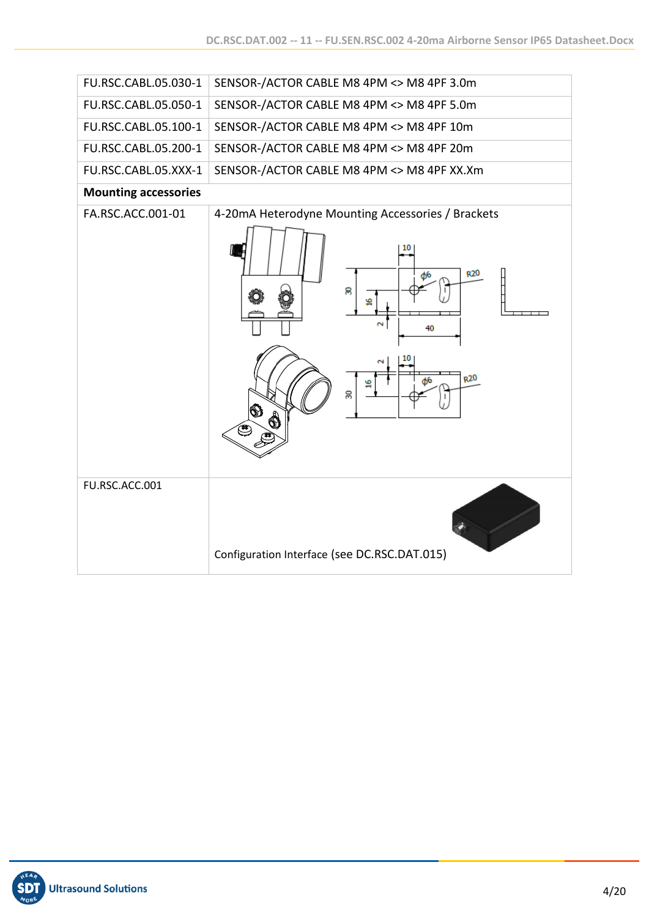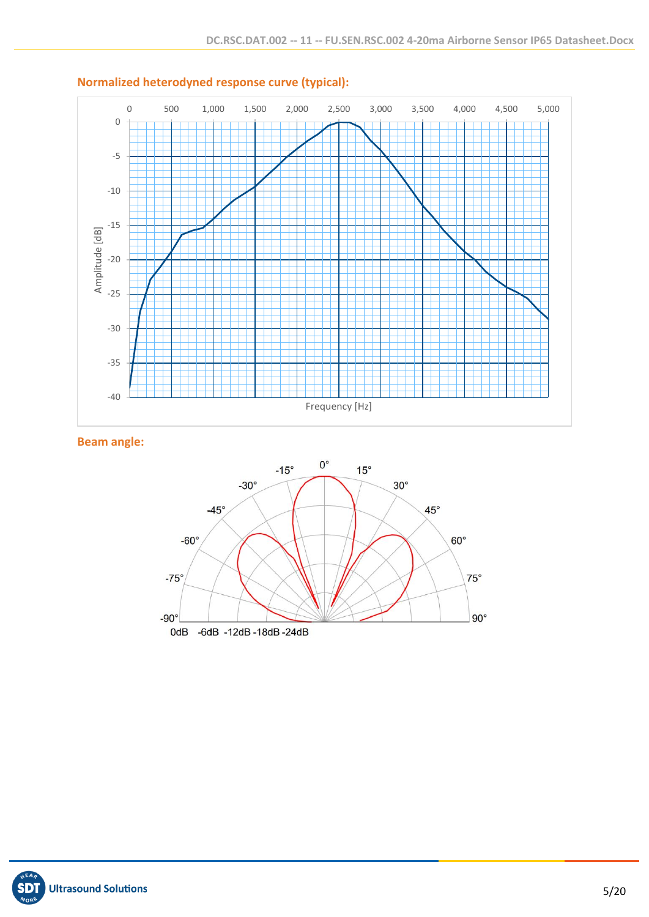

#### **Normalized heterodyned response curve (typical):**

**Beam angle:**

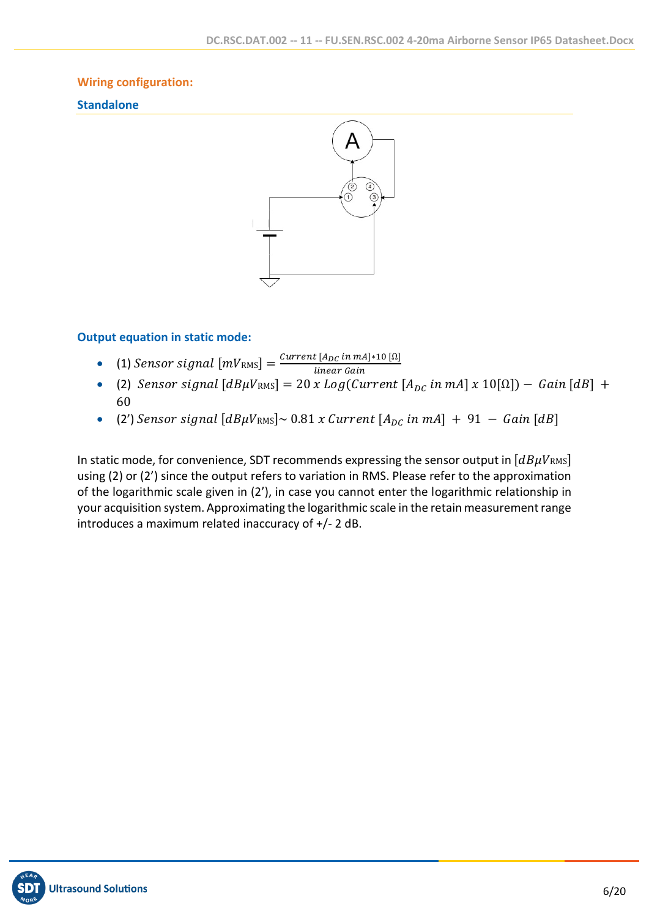## **Wiring configuration:**

## **Standalone**



## **Output equation in static mode:**

- (1) Sensor signal  $[mV_{RMS}] = \frac{Current [A_{DC} in mA]*10 [Ω]}{linear Cdim}$
- linear Gain • (2)  $Sensor$   $[dB\mu V_{RMS}] = 20$  x  $Log(Current \left[A_{DC} in mA\right] x 10[\Omega]) - Gain \left[dB\right] +$ 60
- (2')  $Sensor$  signal  $[dB\mu V_{RMS}] \sim 0.81$  x Current  $[A_{DC}$  in mA] + 91 Gain  $[dB]$

In static mode, for convenience, SDT recommends expressing the sensor output in  $[dB\mu V_{RMS}]$ using (2) or (2') since the output refers to variation in RMS. Please refer to the approximation of the logarithmic scale given in (2'), in case you cannot enter the logarithmic relationship in your acquisition system. Approximating the logarithmic scale in the retain measurement range introduces a maximum related inaccuracy of +/- 2 dB.

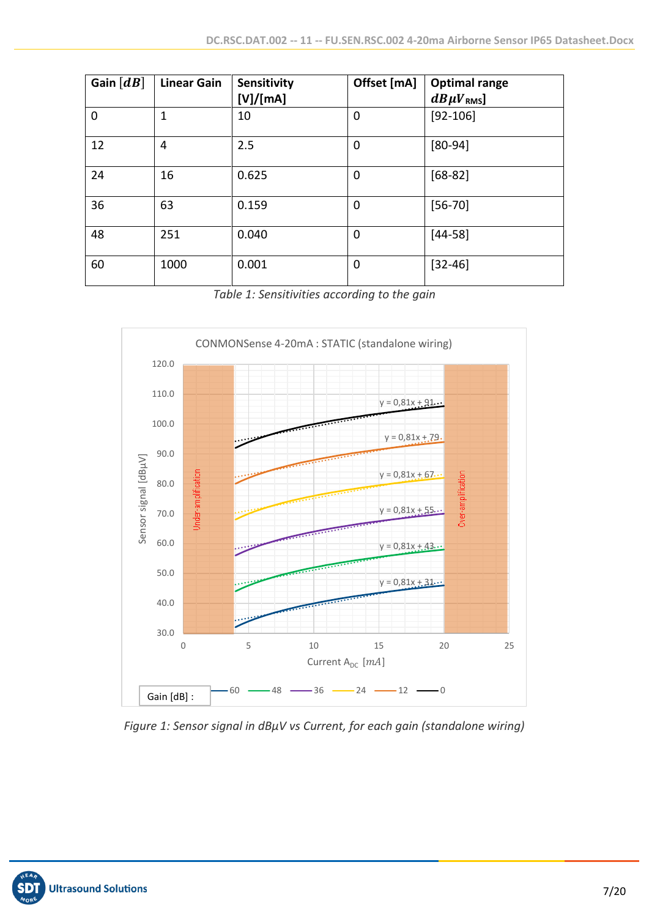| Gain $\lfloor dB \rfloor$ | <b>Linear Gain</b> | Sensitivity<br>[V]/[mA] | Offset [mA] | <b>Optimal range</b><br>$dB\mu V_{RMS}$ |
|---------------------------|--------------------|-------------------------|-------------|-----------------------------------------|
| $\mathbf 0$               | 1                  | 10                      | $\mathbf 0$ | $[92 - 106]$                            |
| 12                        | 4                  | 2.5                     | $\mathbf 0$ | $[80-94]$                               |
| 24                        | 16                 | 0.625                   | 0           | $[68-82]$                               |
| 36                        | 63                 | 0.159                   | $\mathbf 0$ | $[56 - 70]$                             |
| 48                        | 251                | 0.040                   | $\mathbf 0$ | $[44-58]$                               |
| 60                        | 1000               | 0.001                   | 0           | $[32 - 46]$                             |

*Table 1: Sensitivities according to the gain*



*Figure 1: Sensor signal in dBµV vs Current, for each gain (standalone wiring)*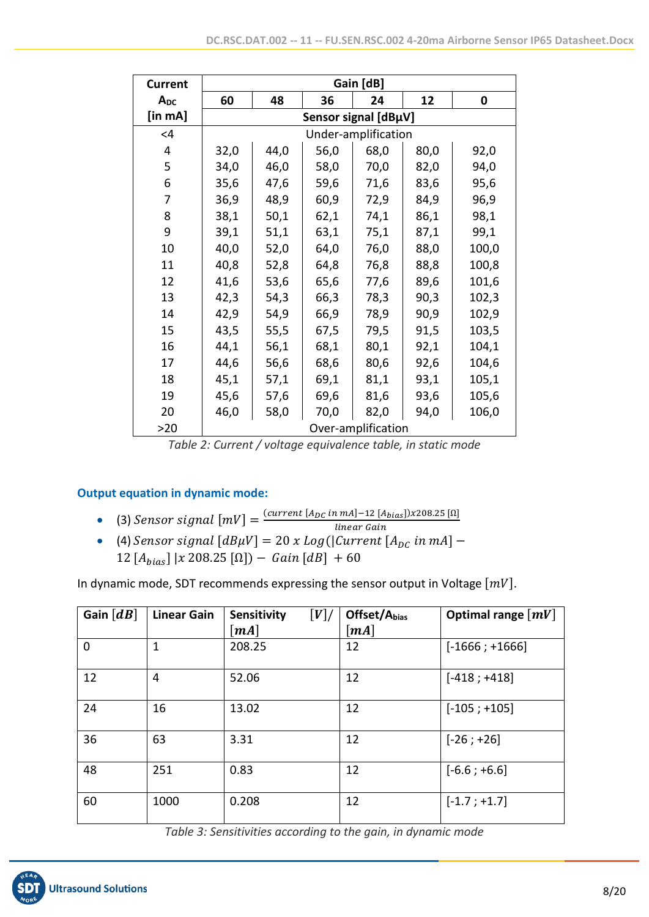| <b>Current</b>  | Gain [dB] |      |                      |                     |      |       |
|-----------------|-----------|------|----------------------|---------------------|------|-------|
| A <sub>DC</sub> | 60        | 48   | 36                   | 24                  | 12   | 0     |
| [in mA]         |           |      | Sensor signal [dBµV] |                     |      |       |
| $\leq 4$        |           |      |                      | Under-amplification |      |       |
| 4               | 32,0      | 44,0 | 56,0                 | 68,0                | 80,0 | 92,0  |
| 5               | 34,0      | 46,0 | 58,0                 | 70,0                | 82,0 | 94,0  |
| 6               | 35,6      | 47,6 | 59,6                 | 71,6                | 83,6 | 95,6  |
| 7               | 36,9      | 48,9 | 60,9                 | 72,9                | 84,9 | 96,9  |
| 8               | 38,1      | 50,1 | 62,1                 | 74,1                | 86,1 | 98,1  |
| 9               | 39,1      | 51,1 | 63,1                 | 75,1                | 87,1 | 99,1  |
| 10              | 40,0      | 52,0 | 64,0                 | 76,0                | 88,0 | 100,0 |
| 11              | 40,8      | 52,8 | 64,8                 | 76,8                | 88,8 | 100,8 |
| 12              | 41,6      | 53,6 | 65,6                 | 77,6                | 89,6 | 101,6 |
| 13              | 42,3      | 54,3 | 66,3                 | 78,3                | 90,3 | 102,3 |
| 14              | 42,9      | 54,9 | 66,9                 | 78,9                | 90,9 | 102,9 |
| 15              | 43,5      | 55,5 | 67,5                 | 79,5                | 91,5 | 103,5 |
| 16              | 44,1      | 56,1 | 68,1                 | 80,1                | 92,1 | 104,1 |
| 17              | 44,6      | 56,6 | 68,6                 | 80,6                | 92,6 | 104,6 |
| 18              | 45,1      | 57,1 | 69,1                 | 81,1                | 93,1 | 105,1 |
| 19              | 45,6      | 57,6 | 69,6                 | 81,6                | 93,6 | 105,6 |
| 20              | 46,0      | 58,0 | 70,0                 | 82,0                | 94,0 | 106,0 |
| >20             |           |      |                      | Over-amplification  |      |       |

*Table 2: Current / voltage equivalence table, in static mode*

# **Output equation in dynamic mode:**

- (3)  $Sensor$  signal  $[mV] = \frac{(current [A_{DC} in mA] 12 [A_{bias}])x208.25 [Ω]}{linear Gain}$
- linear Gain • (4)  $Sensor$  signal  $[dB\mu V] = 20$  x  $Log(|Current|A_{DC} in mA]$  – 12  $[A_{bias}]$  | x 208.25 [Ω]) – *Gain* [dB] + 60

In dynamic mode, SDT recommends expressing the sensor output in Voltage  $[mV]$ .

| Gain $\lfloor dB \rfloor$ | <b>Linear Gain</b> | [V]<br>Sensitivity<br>$\lceil m A \rceil$ | Offset/A <sub>bias</sub><br>$\lceil m A \rceil$ | Optimal range $\lfloor mV \rfloor$ |
|---------------------------|--------------------|-------------------------------------------|-------------------------------------------------|------------------------------------|
| $\Omega$                  | 1                  | 208.25                                    | 12                                              | $[-1666; +1666]$                   |
| 12                        | 4                  | 52.06                                     | 12                                              | $[-418; +418]$                     |
| 24                        | 16                 | 13.02                                     | 12                                              | $[-105; +105]$                     |
| 36                        | 63                 | 3.31                                      | 12                                              | $[-26; +26]$                       |
| 48                        | 251                | 0.83                                      | 12                                              | $[-6.6; +6.6]$                     |
| 60                        | 1000               | 0.208                                     | 12                                              | $[-1.7; +1.7]$                     |

*Table 3: Sensitivities according to the gain, in dynamic mode*

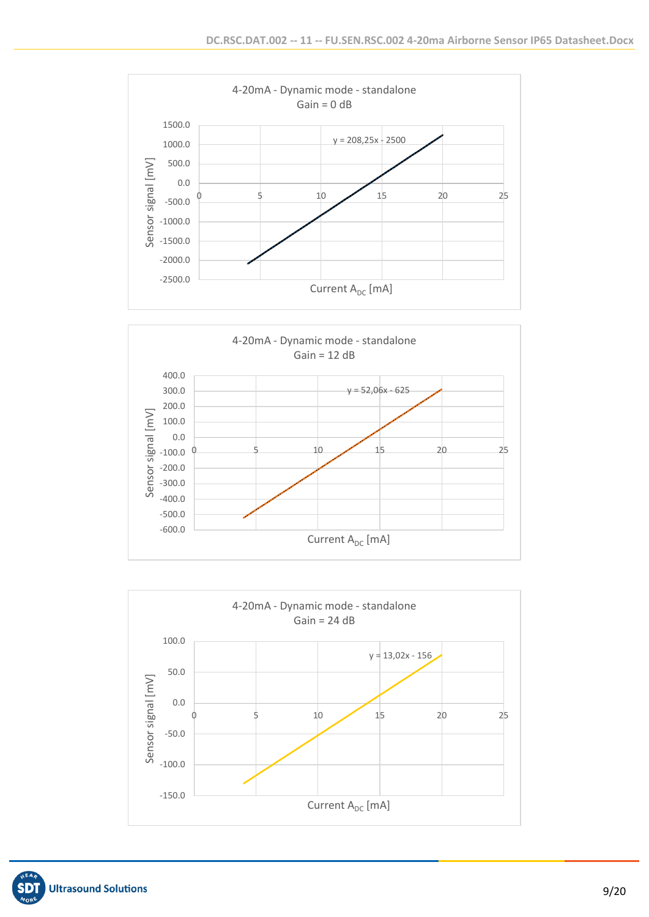





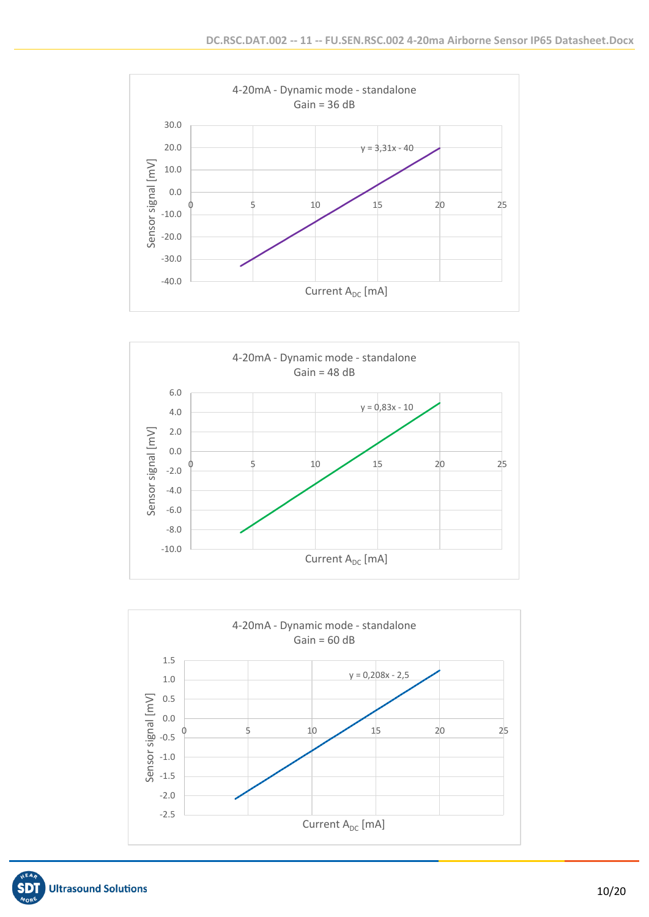





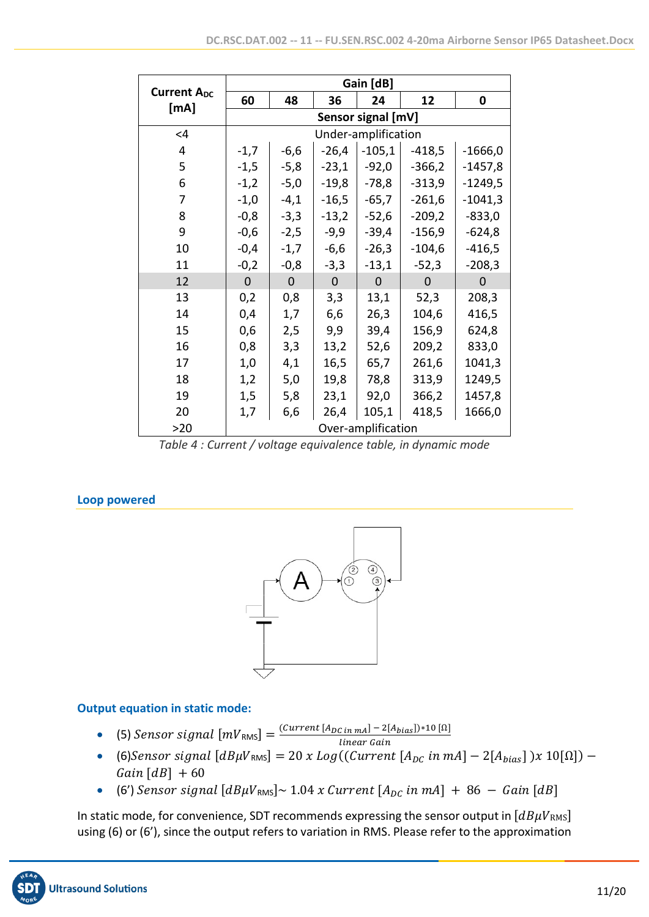|                            |                    | Gain [dB]          |             |                     |                |           |  |  |
|----------------------------|--------------------|--------------------|-------------|---------------------|----------------|-----------|--|--|
| <b>Current Apc</b><br>[mA] | 60                 | 48                 | 36          | 24                  | 12             | 0         |  |  |
|                            |                    | Sensor signal [mV] |             |                     |                |           |  |  |
| <4                         |                    |                    |             | Under-amplification |                |           |  |  |
| 4                          | $-1,7$             | $-6,6$             | $-26,4$     | $-105,1$            | $-418,5$       | $-1666,0$ |  |  |
| 5                          | $-1,5$             | $-5,8$             | $-23,1$     | $-92,0$             | $-366,2$       | $-1457,8$ |  |  |
| 6                          | $-1,2$             | $-5,0$             | $-19,8$     | $-78,8$             | $-313,9$       | $-1249,5$ |  |  |
| 7                          | $-1,0$             | $-4,1$             | $-16,5$     | $-65,7$             | $-261,6$       | $-1041,3$ |  |  |
| 8                          | $-0,8$             | $-3,3$             | $-13,2$     | $-52,6$             | $-209,2$       | $-833,0$  |  |  |
| 9                          | $-0,6$             | $-2,5$             | $-9,9$      | $-39,4$             | $-156,9$       | $-624,8$  |  |  |
| 10                         | $-0,4$             | $-1,7$             | $-6,6$      | $-26,3$             | $-104,6$       | $-416,5$  |  |  |
| 11                         | $-0,2$             | $-0,8$             | $-3,3$      | $-13,1$             | $-52,3$        | $-208,3$  |  |  |
| 12                         | $\mathbf{0}$       | $\overline{0}$     | $\mathbf 0$ | $\overline{0}$      | $\overline{0}$ | $\Omega$  |  |  |
| 13                         | 0,2                | 0,8                | 3,3         | 13,1                | 52,3           | 208,3     |  |  |
| 14                         | 0,4                | 1,7                | 6,6         | 26,3                | 104,6          | 416,5     |  |  |
| 15                         | 0,6                | 2,5                | 9,9         | 39,4                | 156,9          | 624,8     |  |  |
| 16                         | 0,8                | 3,3                | 13,2        | 52,6                | 209,2          | 833,0     |  |  |
| 17                         | 1,0                | 4,1                | 16,5        | 65,7                | 261,6          | 1041,3    |  |  |
| 18                         | 1,2                | 5,0                | 19,8        | 78,8                | 313,9          | 1249,5    |  |  |
| 19                         | 1,5                | 5,8                | 23,1        | 92,0                | 366,2          | 1457,8    |  |  |
| 20                         | 1,7                | 6,6                | 26,4        | 105,1               | 418,5          | 1666,0    |  |  |
| >20                        | Over-amplification |                    |             |                     |                |           |  |  |

*Table 4 : Current / voltage equivalence table, in dynamic mode*

# **Loop powered**



# **Output equation in static mode:**

- (5)  $Sensor$  signal  $[mV_{RMS}] = \frac{(Current [A_{DC} in mA] 2[A_{bias}]) * 10 [0]}{linear G}$
- linear Gain • (6) Sensor signal  $[dB\mu V_{RMS}] = 20$  x  $Log((Current [A<sub>DC</sub> in mA] - 2[A<sub>bias</sub>] )x 10[\Omega]) Gain [dB] + 60$
- (6')  $Sensor$  signal  $[dB\mu V_{RMS}] \sim 1.04$  x Current  $[A_{DC}$  in mA] + 86 Gain  $[dB]$

In static mode, for convenience, SDT recommends expressing the sensor output in  $[dB\mu V_{RMS}]$ using (6) or (6'), since the output refers to variation in RMS. Please refer to the approximation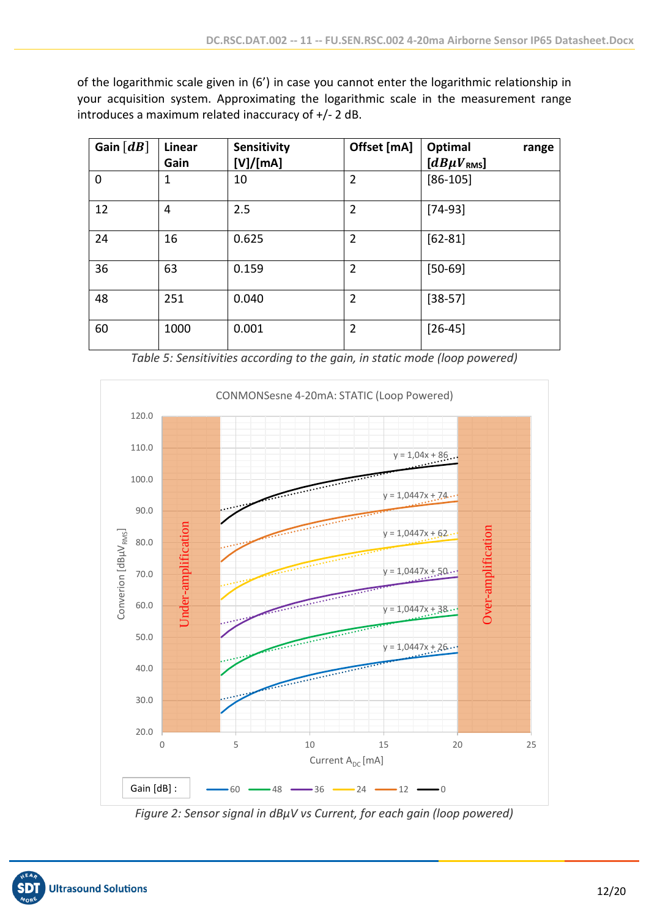of the logarithmic scale given in (6') in case you cannot enter the logarithmic relationship in your acquisition system. Approximating the logarithmic scale in the measurement range introduces a maximum related inaccuracy of +/- 2 dB.

| Gain $\lfloor dB \rfloor$ | Linear<br>Gain | Sensitivity<br>[V]/[mA] | Offset [mA]    | Optimal<br>range<br>$[dB\mu V_{RMS}]$ |
|---------------------------|----------------|-------------------------|----------------|---------------------------------------|
| 0                         | 1              | 10                      | $\overline{2}$ | $[86-105]$                            |
| 12                        | 4              | 2.5                     | $\overline{2}$ | $[74-93]$                             |
| 24                        | 16             | 0.625                   | $\overline{2}$ | $[62 - 81]$                           |
| 36                        | 63             | 0.159                   | $\overline{2}$ | $[50-69]$                             |
| 48                        | 251            | 0.040                   | $\overline{2}$ | $[38 - 57]$                           |
| 60                        | 1000           | 0.001                   | $\overline{2}$ | $[26-45]$                             |



*Table 5: Sensitivities according to the gain, in static mode (loop powered)*

*Figure 2: Sensor signal in dBµV vs Current, for each gain (loop powered)*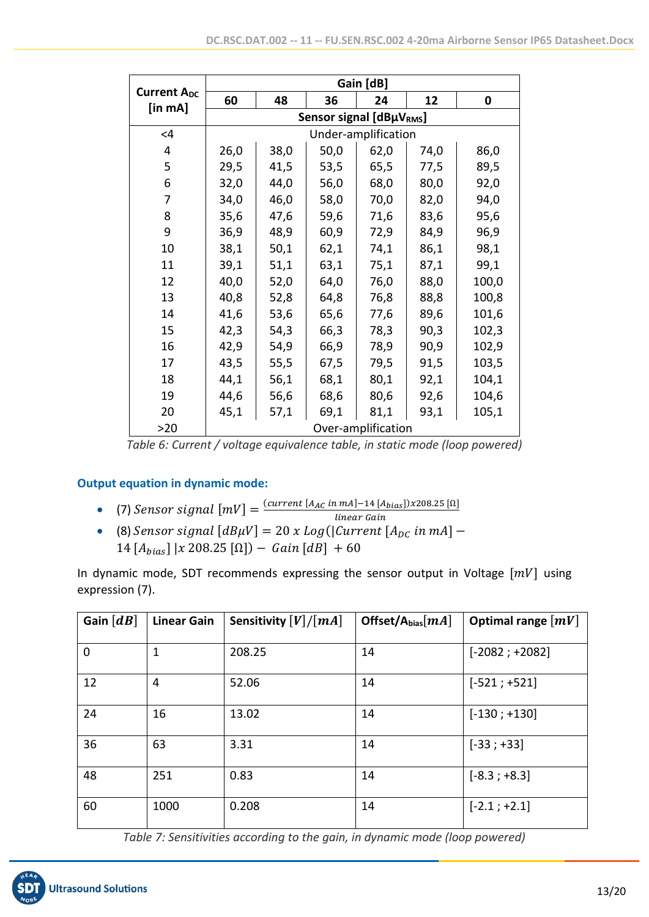|                               | Gain [dB]               |      |      |                     |      |       |  |  |
|-------------------------------|-------------------------|------|------|---------------------|------|-------|--|--|
| <b>Current Apc</b><br>[in mA] | 60                      | 48   | 36   | 24                  | 12   | 0     |  |  |
|                               | Sensor signal [dBµVRMS] |      |      |                     |      |       |  |  |
| $\leq 4$                      |                         |      |      | Under-amplification |      |       |  |  |
| 4                             | 26,0                    | 38,0 | 50,0 | 62,0                | 74,0 | 86,0  |  |  |
| 5                             | 29,5                    | 41,5 | 53,5 | 65,5                | 77,5 | 89,5  |  |  |
| 6                             | 32,0                    | 44,0 | 56,0 | 68,0                | 80,0 | 92,0  |  |  |
| 7                             | 34,0                    | 46,0 | 58,0 | 70,0                | 82,0 | 94,0  |  |  |
| 8                             | 35,6                    | 47,6 | 59,6 | 71,6                | 83,6 | 95,6  |  |  |
| 9                             | 36,9                    | 48,9 | 60,9 | 72,9                | 84,9 | 96,9  |  |  |
| 10                            | 38,1                    | 50,1 | 62,1 | 74,1                | 86,1 | 98,1  |  |  |
| 11                            | 39,1                    | 51,1 | 63,1 | 75,1                | 87,1 | 99,1  |  |  |
| 12                            | 40,0                    | 52,0 | 64,0 | 76,0                | 88,0 | 100,0 |  |  |
| 13                            | 40,8                    | 52,8 | 64,8 | 76,8                | 88,8 | 100,8 |  |  |
| 14                            | 41,6                    | 53,6 | 65,6 | 77,6                | 89,6 | 101,6 |  |  |
| 15                            | 42,3                    | 54,3 | 66,3 | 78,3                | 90,3 | 102,3 |  |  |
| 16                            | 42,9                    | 54,9 | 66,9 | 78,9                | 90,9 | 102,9 |  |  |
| 17                            | 43,5                    | 55,5 | 67,5 | 79,5                | 91,5 | 103,5 |  |  |
| 18                            | 44,1                    | 56,1 | 68,1 | 80,1                | 92,1 | 104,1 |  |  |
| 19                            | 44,6                    | 56,6 | 68,6 | 80,6                | 92,6 | 104,6 |  |  |
| 20                            | 45,1                    | 57,1 | 69,1 | 81,1                | 93,1 | 105,1 |  |  |
| >20                           |                         |      |      | Over-amplification  |      |       |  |  |

*Table 6: Current / voltage equivalence table, in static mode (loop powered)*

# **Output equation in dynamic mode:**

- (7)  $Sensor$  signal  $[mV] = \frac{(current [A_{AC} in mA] 14 [A_{bias}]) \times 208.25 [Ω]}{linear Gain}$
- linear Gain • (8)  $Sensor$  signal  $[dB\mu V] = 20$  x  $Log(|Current|A_{DC}$  in mA] – 14  $[A_{bias}]$  | x 208.25 [Ω]) – *Gain* [dB] + 60

In dynamic mode, SDT recommends expressing the sensor output in Voltage  $[mV]$  using expression (7).

| Gain $\lfloor dB \rfloor$ | <b>Linear Gain</b> | Sensitivity $[V]/[mA]$ | Offset/A <sub>bias</sub> $[mA]$ | Optimal range $\lfloor mV \rfloor$ |
|---------------------------|--------------------|------------------------|---------------------------------|------------------------------------|
| $\mathbf 0$               | 1                  | 208.25                 | 14                              | $[-2082; +2082]$                   |
| 12                        | 4                  | 52.06                  | 14                              | $[-521; +521]$                     |
| 24                        | 16                 | 13.02                  | 14                              | $[-130; +130]$                     |
| 36                        | 63                 | 3.31                   | 14                              | $[-33; +33]$                       |
| 48                        | 251                | 0.83                   | 14                              | $[-8.3; +8.3]$                     |
| 60                        | 1000               | 0.208                  | 14                              | $[-2.1; +2.1]$                     |

*Table 7: Sensitivities according to the gain, in dynamic mode (loop powered)*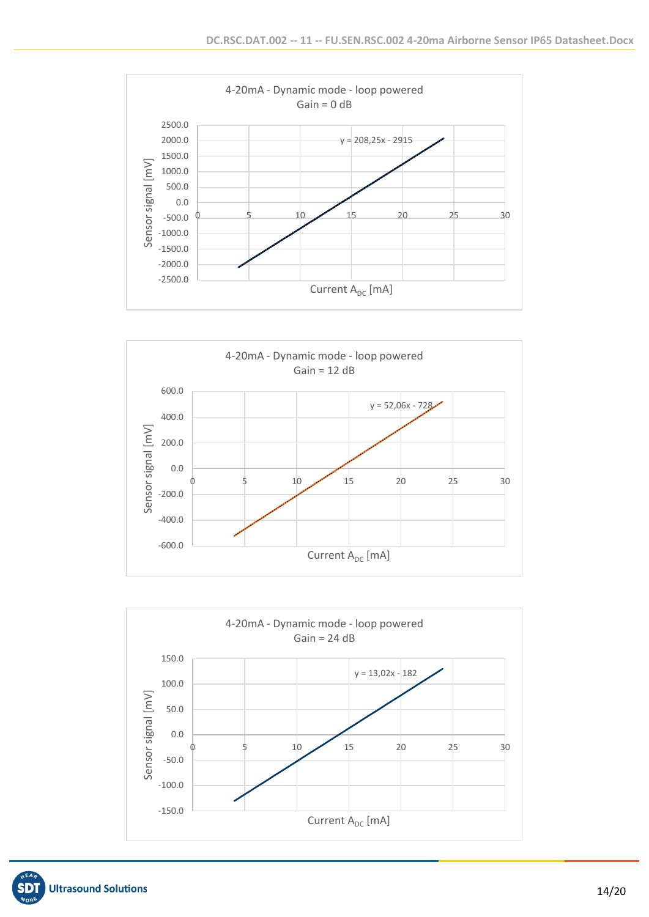





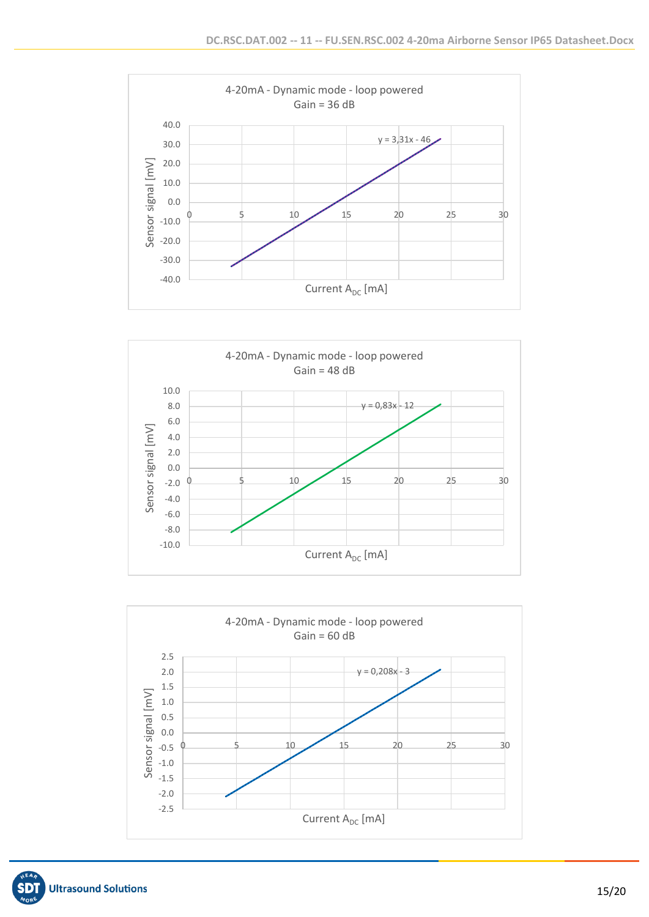





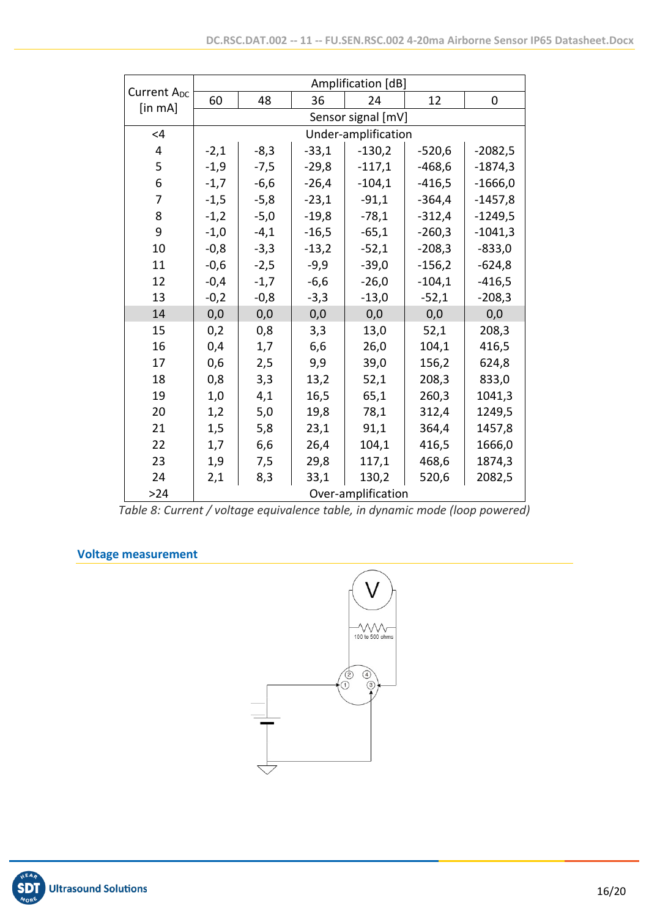|                                          | Amplification [dB] |                    |         |                     |          |           |  |  |
|------------------------------------------|--------------------|--------------------|---------|---------------------|----------|-----------|--|--|
| Current A <sub>DC</sub><br>$[$ in mA $]$ | 60                 | 48                 | 36      | 24                  | 12       | 0         |  |  |
|                                          |                    | Sensor signal [mV] |         |                     |          |           |  |  |
| <4                                       |                    |                    |         | Under-amplification |          |           |  |  |
| 4                                        | $-2,1$             | $-8,3$             | $-33,1$ | $-130,2$            | $-520,6$ | $-2082,5$ |  |  |
| 5                                        | $-1,9$             | $-7,5$             | $-29,8$ | $-117,1$            | $-468,6$ | $-1874,3$ |  |  |
| 6                                        | $-1,7$             | $-6,6$             | $-26,4$ | $-104,1$            | $-416,5$ | $-1666,0$ |  |  |
| 7                                        | $-1,5$             | $-5,8$             | $-23,1$ | $-91,1$             | $-364,4$ | $-1457,8$ |  |  |
| 8                                        | $-1,2$             | $-5,0$             | $-19,8$ | $-78,1$             | $-312,4$ | $-1249,5$ |  |  |
| 9                                        | $-1,0$             | $-4,1$             | $-16,5$ | $-65,1$             | $-260,3$ | $-1041,3$ |  |  |
| 10                                       | $-0,8$             | $-3,3$             | $-13,2$ | $-52,1$             | $-208,3$ | $-833,0$  |  |  |
| 11                                       | $-0,6$             | $-2,5$             | $-9,9$  | $-39,0$             | $-156,2$ | $-624,8$  |  |  |
| 12                                       | $-0,4$             | $-1,7$             | $-6,6$  | $-26,0$             | $-104,1$ | $-416,5$  |  |  |
| 13                                       | $-0,2$             | $-0,8$             | $-3,3$  | $-13,0$             | $-52,1$  | $-208,3$  |  |  |
| 14                                       | 0,0                | 0,0                | 0,0     | 0,0                 | 0,0      | 0,0       |  |  |
| 15                                       | 0,2                | 0,8                | 3,3     | 13,0                | 52,1     | 208,3     |  |  |
| 16                                       | 0,4                | 1,7                | 6,6     | 26,0                | 104,1    | 416,5     |  |  |
| 17                                       | 0,6                | 2,5                | 9,9     | 39,0                | 156,2    | 624,8     |  |  |
| 18                                       | 0,8                | 3,3                | 13,2    | 52,1                | 208,3    | 833,0     |  |  |
| 19                                       | 1,0                | 4,1                | 16,5    | 65,1                | 260,3    | 1041,3    |  |  |
| 20                                       | 1,2                | 5,0                | 19,8    | 78,1                | 312,4    | 1249,5    |  |  |
| 21                                       | 1,5                | 5,8                | 23,1    | 91,1                | 364,4    | 1457,8    |  |  |
| 22                                       | 1,7                | 6,6                | 26,4    | 104,1               | 416,5    | 1666,0    |  |  |
| 23                                       | 1,9                | 7,5                | 29,8    | 117,1               | 468,6    | 1874,3    |  |  |
| 24                                       | 2,1                | 8,3                | 33,1    | 130,2               | 520,6    | 2082,5    |  |  |
| $>24$                                    | Over-amplification |                    |         |                     |          |           |  |  |

*Table 8: Current / voltage equivalence table, in dynamic mode (loop powered)*

## **Voltage measurement**



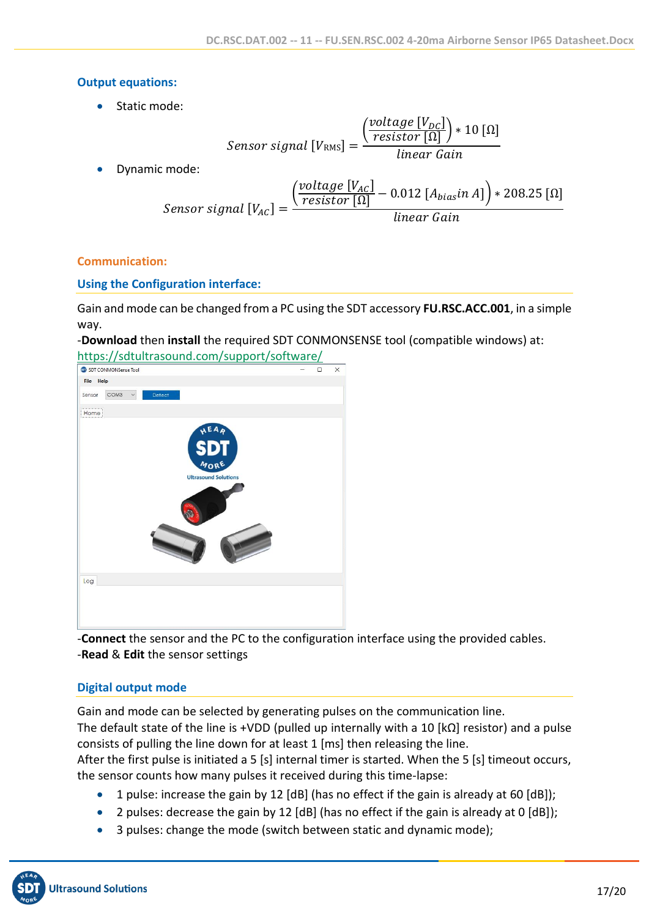## **Output equations:**

• Static mode:

$$
Sensor\ signal\ [V_{RMS}] = \frac{\left(\frac{voltage\ [V_{DC}]}{resistor\ [ \Omega]}\right)*10\ [ \Omega]}{linear\ Gain}
$$

• Dynamic mode:

$$
Sensor\ signal\ [V_{AC}] = \frac{\left(\frac{voltage\ [V_{AC}]}{resistor\ [\Omega]} - 0.012\ [A_{bias} in\ A]\right) * 208.25\ [\Omega]}{linear\ Gain}
$$

# **Communication:**

# **Using the Configuration interface:**

Gain and mode can be changed from a PC using the SDT accessory **FU.RSC.ACC.001**, in a simple way.

-**Download** then **install** the required SDT CONMONSENSE tool (compatible windows) at: <https://sdtultrasound.com/support/software/>



-**Connect** the sensor and the PC to the configuration interface using the provided cables. -**Read** & **Edit** the sensor settings

# **Digital output mode**

Gain and mode can be selected by generating pulses on the communication line. The default state of the line is +VDD (pulled up internally with a 10  $\lfloor k\Omega \rfloor$  resistor) and a pulse consists of pulling the line down for at least 1 [ms] then releasing the line.

After the first pulse is initiated a 5 [s] internal timer is started. When the 5 [s] timeout occurs, the sensor counts how many pulses it received during this time-lapse:

- 1 pulse: increase the gain by 12 [dB] (has no effect if the gain is already at 60 [dB]);
- 2 pulses: decrease the gain by 12 [dB] (has no effect if the gain is already at 0 [dB]);
- 3 pulses: change the mode (switch between static and dynamic mode);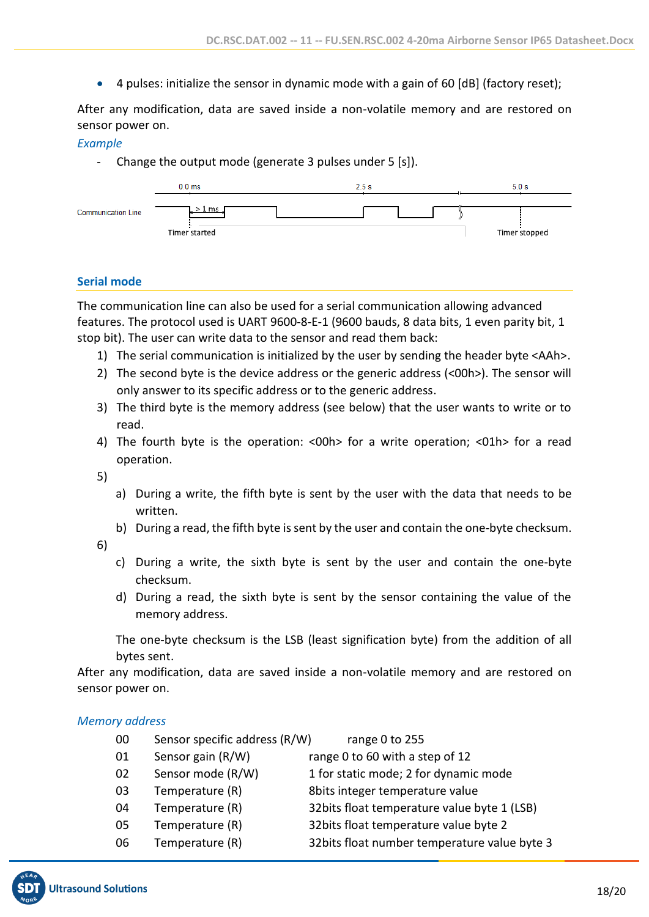• 4 pulses: initialize the sensor in dynamic mode with a gain of 60 [dB] (factory reset);

After any modification, data are saved inside a non-volatile memory and are restored on sensor power on.

#### *Example*

- Change the output mode (generate 3 pulses under 5 [s]).



#### **Serial mode**

The communication line can also be used for a serial communication allowing advanced features. The protocol used is UART 9600-8-E-1 (9600 bauds, 8 data bits, 1 even parity bit, 1 stop bit). The user can write data to the sensor and read them back:

- 1) The serial communication is initialized by the user by sending the header byte <AAh>.
- 2) The second byte is the device address or the generic address (<00h>). The sensor will only answer to its specific address or to the generic address.
- 3) The third byte is the memory address (see below) that the user wants to write or to read.
- 4) The fourth byte is the operation: <00h> for a write operation; <01h> for a read operation.
- 5)
- a) During a write, the fifth byte is sent by the user with the data that needs to be written.
- b) During a read, the fifth byte is sent by the user and contain the one-byte checksum.
- 6)
- c) During a write, the sixth byte is sent by the user and contain the one-byte checksum.
- d) During a read, the sixth byte is sent by the sensor containing the value of the memory address.

The one-byte checksum is the LSB (least signification byte) from the addition of all bytes sent.

After any modification, data are saved inside a non-volatile memory and are restored on sensor power on.

#### *Memory address*

- 00 Sensor specific address (R/W) range 0 to 255
- 01 Sensor gain (R/W) range 0 to 60 with a step of 12
- 02 Sensor mode (R/W) 1 for static mode; 2 for dynamic mode
- 03 Temperature (R) 8bits integer temperature value
- 04 Temperature (R) 32bits float temperature value byte 1 (LSB)
- 05 Temperature (R) 32bits float temperature value byte 2
- 06 Temperature (R) 32bits float number temperature value byte 3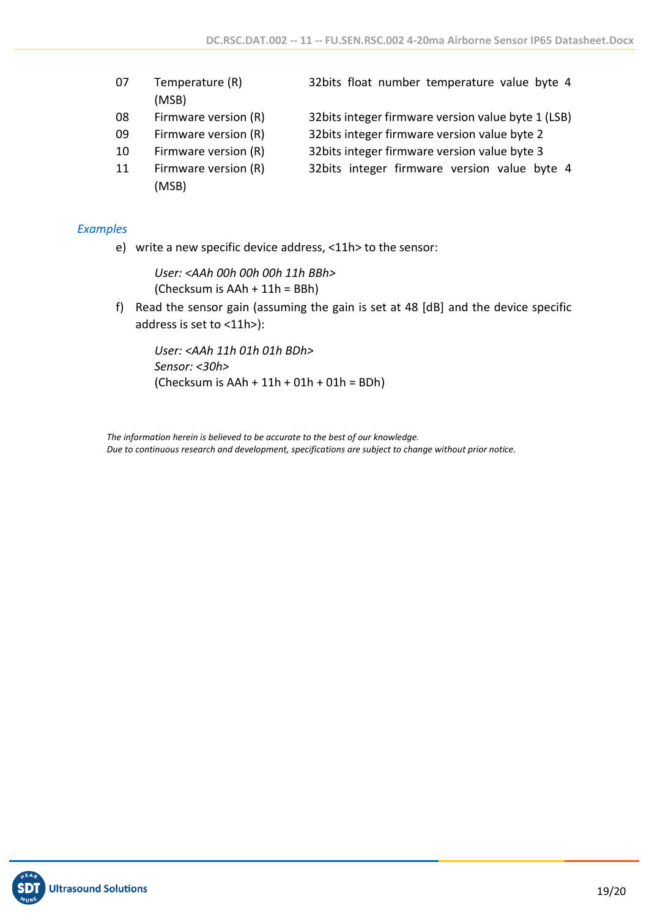(MSB)

07 Temperature (R) 32bits float number temperature value byte 4

- 08 Firmware version (R) 32bits integer firmware version value byte 1 (LSB)
- 09 Firmware version (R) 32bits integer firmware version value byte 2
- 
- (MSB)

# 10 Firmware version (R) 32bits integer firmware version value byte 3

11 Firmware version (R) 32bits integer firmware version value byte 4

## *Examples*

e) write a new specific device address, <11h> to the sensor:

*User: <AAh 00h 00h 00h 11h BBh>* (Checksum is AAh + 11h = BBh)

f) Read the sensor gain (assuming the gain is set at 48 [dB] and the device specific address is set to <11h>):

*User: <AAh 11h 01h 01h BDh> Sensor: <30h>* (Checksum is  $AAh + 11h + 01h + 01h = BDh$ )

*The information herein is believed to be accurate to the best of our knowledge. Due to continuous research and development, specifications are subject to change without prior notice.*